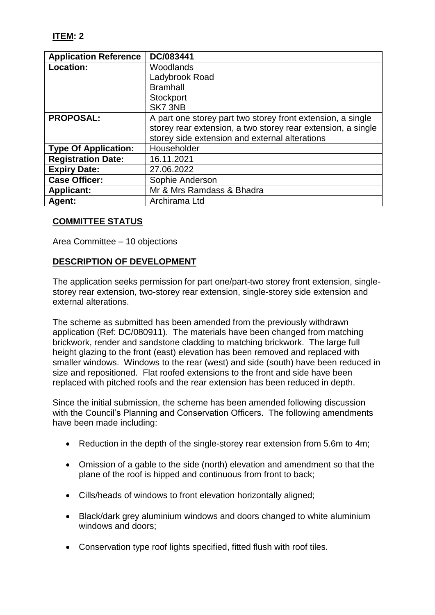| <b>Application Reference</b> | DC/083441                                                    |
|------------------------------|--------------------------------------------------------------|
| Location:                    | Woodlands                                                    |
|                              | Ladybrook Road                                               |
|                              | <b>Bramhall</b>                                              |
|                              | Stockport                                                    |
|                              | SK7 3NB                                                      |
| <b>PROPOSAL:</b>             | A part one storey part two storey front extension, a single  |
|                              | storey rear extension, a two storey rear extension, a single |
|                              | storey side extension and external alterations               |
| <b>Type Of Application:</b>  | Householder                                                  |
| <b>Registration Date:</b>    | 16.11.2021                                                   |
| <b>Expiry Date:</b>          | 27.06.2022                                                   |
| <b>Case Officer:</b>         | Sophie Anderson                                              |
| <b>Applicant:</b>            | Mr & Mrs Ramdass & Bhadra                                    |
| <b>Agent:</b>                | Archirama Ltd                                                |

# **COMMITTEE STATUS**

Area Committee – 10 objections

# **DESCRIPTION OF DEVELOPMENT**

The application seeks permission for part one/part-two storey front extension, singlestorey rear extension, two-storey rear extension, single-storey side extension and external alterations.

The scheme as submitted has been amended from the previously withdrawn application (Ref: DC/080911). The materials have been changed from matching brickwork, render and sandstone cladding to matching brickwork. The large full height glazing to the front (east) elevation has been removed and replaced with smaller windows. Windows to the rear (west) and side (south) have been reduced in size and repositioned. Flat roofed extensions to the front and side have been replaced with pitched roofs and the rear extension has been reduced in depth.

Since the initial submission, the scheme has been amended following discussion with the Council's Planning and Conservation Officers. The following amendments have been made including:

- Reduction in the depth of the single-storey rear extension from 5.6m to 4m;
- Omission of a gable to the side (north) elevation and amendment so that the plane of the roof is hipped and continuous from front to back;
- Cills/heads of windows to front elevation horizontally aligned;
- Black/dark grey aluminium windows and doors changed to white aluminium windows and doors;
- Conservation type roof lights specified, fitted flush with roof tiles.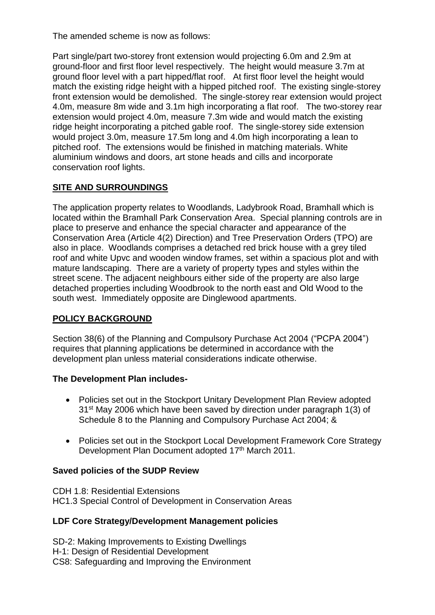The amended scheme is now as follows:

Part single/part two-storey front extension would projecting 6.0m and 2.9m at ground-floor and first floor level respectively. The height would measure 3.7m at ground floor level with a part hipped/flat roof. At first floor level the height would match the existing ridge height with a hipped pitched roof. The existing single-storey front extension would be demolished. The single-storey rear extension would project 4.0m, measure 8m wide and 3.1m high incorporating a flat roof. The two-storey rear extension would project 4.0m, measure 7.3m wide and would match the existing ridge height incorporating a pitched gable roof. The single-storey side extension would project 3.0m, measure 17.5m long and 4.0m high incorporating a lean to pitched roof. The extensions would be finished in matching materials. White aluminium windows and doors, art stone heads and cills and incorporate conservation roof lights.

# **SITE AND SURROUNDINGS**

The application property relates to Woodlands, Ladybrook Road, Bramhall which is located within the Bramhall Park Conservation Area. Special planning controls are in place to preserve and enhance the special character and appearance of the Conservation Area (Article 4(2) Direction) and Tree Preservation Orders (TPO) are also in place. Woodlands comprises a detached red brick house with a grey tiled roof and white Upvc and wooden window frames, set within a spacious plot and with mature landscaping. There are a variety of property types and styles within the street scene. The adjacent neighbours either side of the property are also large detached properties including Woodbrook to the north east and Old Wood to the south west. Immediately opposite are Dinglewood apartments.

# **POLICY BACKGROUND**

Section 38(6) of the Planning and Compulsory Purchase Act 2004 ("PCPA 2004") requires that planning applications be determined in accordance with the development plan unless material considerations indicate otherwise.

# **The Development Plan includes-**

- Policies set out in the Stockport Unitary Development Plan Review adopted 31st May 2006 which have been saved by direction under paragraph 1(3) of Schedule 8 to the Planning and Compulsory Purchase Act 2004; &
- Policies set out in the Stockport Local Development Framework Core Strategy Development Plan Document adopted 17<sup>th</sup> March 2011.

# **Saved policies of the SUDP Review**

CDH 1.8: Residential Extensions HC1.3 Special Control of Development in Conservation Areas

# **LDF Core Strategy/Development Management policies**

SD-2: Making Improvements to Existing Dwellings H-1: Design of Residential Development CS8: Safeguarding and Improving the Environment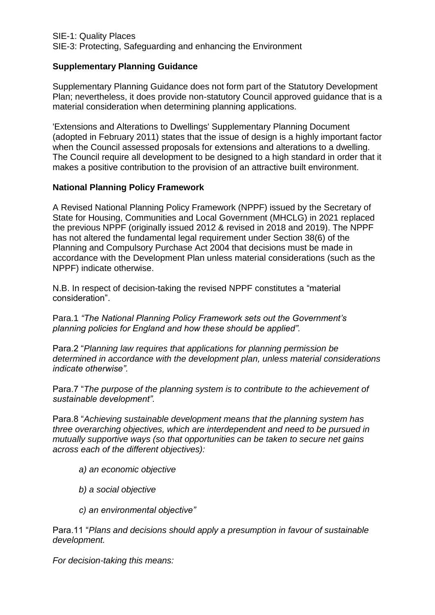## **Supplementary Planning Guidance**

Supplementary Planning Guidance does not form part of the Statutory Development Plan; nevertheless, it does provide non-statutory Council approved guidance that is a material consideration when determining planning applications.

'Extensions and Alterations to Dwellings' Supplementary Planning Document (adopted in February 2011) states that the issue of design is a highly important factor when the Council assessed proposals for extensions and alterations to a dwelling. The Council require all development to be designed to a high standard in order that it makes a positive contribution to the provision of an attractive built environment.

#### **National Planning Policy Framework**

A Revised National Planning Policy Framework (NPPF) issued by the Secretary of State for Housing, Communities and Local Government (MHCLG) in 2021 replaced the previous NPPF (originally issued 2012 & revised in 2018 and 2019). The NPPF has not altered the fundamental legal requirement under Section 38(6) of the Planning and Compulsory Purchase Act 2004 that decisions must be made in accordance with the Development Plan unless material considerations (such as the NPPF) indicate otherwise.

N.B. In respect of decision-taking the revised NPPF constitutes a "material consideration".

Para.1 *"The National Planning Policy Framework sets out the Government's planning policies for England and how these should be applied".*

Para.2 "*Planning law requires that applications for planning permission be determined in accordance with the development plan, unless material considerations indicate otherwise".*

Para.7 "*The purpose of the planning system is to contribute to the achievement of sustainable development".*

Para.8 "*Achieving sustainable development means that the planning system has three overarching objectives, which are interdependent and need to be pursued in mutually supportive ways (so that opportunities can be taken to secure net gains across each of the different objectives):*

- *a) an economic objective*
- *b) a social objective*
- *c) an environmental objective"*

Para.11 "*Plans and decisions should apply a presumption in favour of sustainable development.*

*For decision-taking this means:*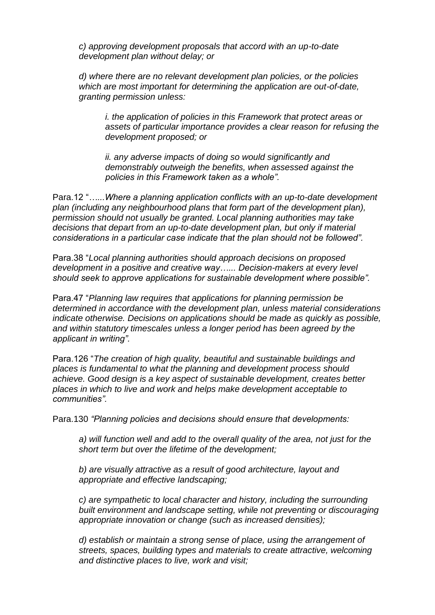*c) approving development proposals that accord with an up-to-date development plan without delay; or*

*d) where there are no relevant development plan policies, or the policies which are most important for determining the application are out-of-date, granting permission unless:*

*i. the application of policies in this Framework that protect areas or assets of particular importance provides a clear reason for refusing the development proposed; or*

*ii. any adverse impacts of doing so would significantly and demonstrably outweigh the benefits, when assessed against the policies in this Framework taken as a whole".*

Para.12 "*…...Where a planning application conflicts with an up-to-date development plan (including any neighbourhood plans that form part of the development plan), permission should not usually be granted. Local planning authorities may take decisions that depart from an up-to-date development plan, but only if material considerations in a particular case indicate that the plan should not be followed".*

Para.38 "*Local planning authorities should approach decisions on proposed development in a positive and creative way…... Decision-makers at every level should seek to approve applications for sustainable development where possible".*

Para.47 "*Planning law requires that applications for planning permission be determined in accordance with the development plan, unless material considerations indicate otherwise. Decisions on applications should be made as quickly as possible, and within statutory timescales unless a longer period has been agreed by the applicant in writing".*

Para.126 "*The creation of high quality, beautiful and sustainable buildings and places is fundamental to what the planning and development process should achieve. Good design is a key aspect of sustainable development, creates better places in which to live and work and helps make development acceptable to communities".*

Para.130 *"Planning policies and decisions should ensure that developments:*

*a) will function well and add to the overall quality of the area, not just for the short term but over the lifetime of the development;*

*b) are visually attractive as a result of good architecture, layout and appropriate and effective landscaping;*

*c) are sympathetic to local character and history, including the surrounding built environment and landscape setting, while not preventing or discouraging appropriate innovation or change (such as increased densities);*

*d) establish or maintain a strong sense of place, using the arrangement of streets, spaces, building types and materials to create attractive, welcoming and distinctive places to live, work and visit;*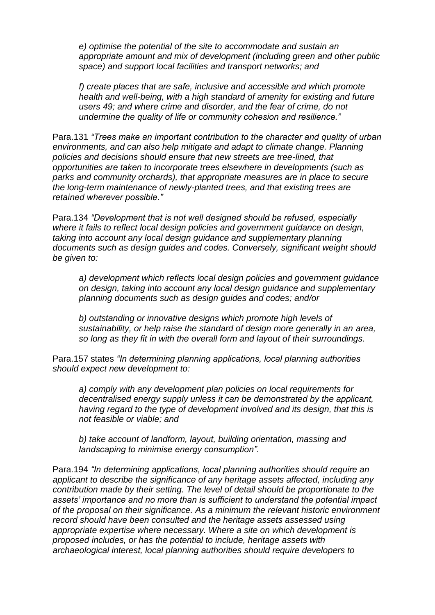*e) optimise the potential of the site to accommodate and sustain an appropriate amount and mix of development (including green and other public space) and support local facilities and transport networks; and*

*f) create places that are safe, inclusive and accessible and which promote health and well-being, with a high standard of amenity for existing and future users 49; and where crime and disorder, and the fear of crime, do not undermine the quality of life or community cohesion and resilience."* 

Para.131 *"Trees make an important contribution to the character and quality of urban environments, and can also help mitigate and adapt to climate change. Planning policies and decisions should ensure that new streets are tree-lined, that opportunities are taken to incorporate trees elsewhere in developments (such as parks and community orchards), that appropriate measures are in place to secure the long-term maintenance of newly-planted trees, and that existing trees are retained wherever possible."*

Para.134 *"Development that is not well designed should be refused, especially where it fails to reflect local design policies and government guidance on design, taking into account any local design guidance and supplementary planning documents such as design guides and codes. Conversely, significant weight should be given to:*

*a) development which reflects local design policies and government guidance on design, taking into account any local design guidance and supplementary planning documents such as design guides and codes; and/or*

*b) outstanding or innovative designs which promote high levels of sustainability, or help raise the standard of design more generally in an area, so long as they fit in with the overall form and layout of their surroundings.*

Para.157 states *"In determining planning applications, local planning authorities should expect new development to:*

*a) comply with any development plan policies on local requirements for decentralised energy supply unless it can be demonstrated by the applicant, having regard to the type of development involved and its design, that this is not feasible or viable; and*

*b) take account of landform, layout, building orientation, massing and landscaping to minimise energy consumption".*

Para.194 *"In determining applications, local planning authorities should require an applicant to describe the significance of any heritage assets affected, including any contribution made by their setting. The level of detail should be proportionate to the assets' importance and no more than is sufficient to understand the potential impact of the proposal on their significance. As a minimum the relevant historic environment record should have been consulted and the heritage assets assessed using appropriate expertise where necessary. Where a site on which development is proposed includes, or has the potential to include, heritage assets with archaeological interest, local planning authorities should require developers to*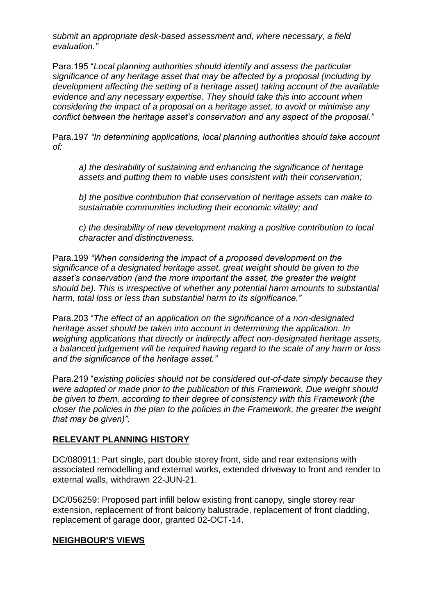*submit an appropriate desk-based assessment and, where necessary, a field evaluation."*

Para.195 "*Local planning authorities should identify and assess the particular significance of any heritage asset that may be affected by a proposal (including by development affecting the setting of a heritage asset) taking account of the available evidence and any necessary expertise. They should take this into account when considering the impact of a proposal on a heritage asset, to avoid or minimise any conflict between the heritage asset's conservation and any aspect of the proposal."*

Para.197 *"In determining applications, local planning authorities should take account of:*

*a) the desirability of sustaining and enhancing the significance of heritage assets and putting them to viable uses consistent with their conservation;*

*b) the positive contribution that conservation of heritage assets can make to sustainable communities including their economic vitality; and*

*c) the desirability of new development making a positive contribution to local character and distinctiveness.*

Para.199 *"When considering the impact of a proposed development on the significance of a designated heritage asset, great weight should be given to the asset's conservation (and the more important the asset, the greater the weight should be). This is irrespective of whether any potential harm amounts to substantial harm, total loss or less than substantial harm to its significance."*

Para.203 "*The effect of an application on the significance of a non-designated heritage asset should be taken into account in determining the application. In weighing applications that directly or indirectly affect non-designated heritage assets, a balanced judgement will be required having regard to the scale of any harm or loss and the significance of the heritage asset."*

Para.219 "*existing policies should not be considered out-of-date simply because they were adopted or made prior to the publication of this Framework. Due weight should be given to them, according to their degree of consistency with this Framework (the closer the policies in the plan to the policies in the Framework, the greater the weight that may be given)".* 

#### **RELEVANT PLANNING HISTORY**

DC/080911: Part single, part double storey front, side and rear extensions with associated remodelling and external works, extended driveway to front and render to external walls, withdrawn 22-JUN-21.

DC/056259: Proposed part infill below existing front canopy, single storey rear extension, replacement of front balcony balustrade, replacement of front cladding, replacement of garage door, granted 02-OCT-14.

#### **NEIGHBOUR'S VIEWS**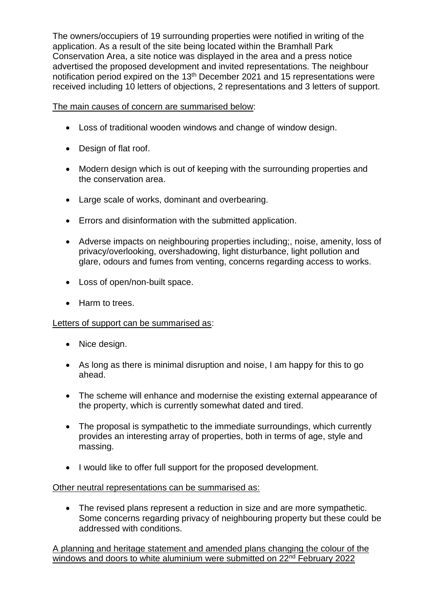The owners/occupiers of 19 surrounding properties were notified in writing of the application. As a result of the site being located within the Bramhall Park Conservation Area, a site notice was displayed in the area and a press notice advertised the proposed development and invited representations. The neighbour notification period expired on the 13th December 2021 and 15 representations were received including 10 letters of objections, 2 representations and 3 letters of support.

The main causes of concern are summarised below:

- Loss of traditional wooden windows and change of window design.
- Design of flat roof.
- Modern design which is out of keeping with the surrounding properties and the conservation area.
- Large scale of works, dominant and overbearing.
- Errors and disinformation with the submitted application.
- Adverse impacts on neighbouring properties including;, noise, amenity, loss of privacy/overlooking, overshadowing, light disturbance, light pollution and glare, odours and fumes from venting, concerns regarding access to works.
- Loss of open/non-built space.
- Harm to trees.

#### Letters of support can be summarised as:

- Nice design.
- As long as there is minimal disruption and noise, I am happy for this to go ahead.
- The scheme will enhance and modernise the existing external appearance of the property, which is currently somewhat dated and tired.
- The proposal is sympathetic to the immediate surroundings, which currently provides an interesting array of properties, both in terms of age, style and massing.
- I would like to offer full support for the proposed development.

#### Other neutral representations can be summarised as:

• The revised plans represent a reduction in size and are more sympathetic. Some concerns regarding privacy of neighbouring property but these could be addressed with conditions.

A planning and heritage statement and amended plans changing the colour of the windows and doors to white aluminium were submitted on 22<sup>nd</sup> February 2022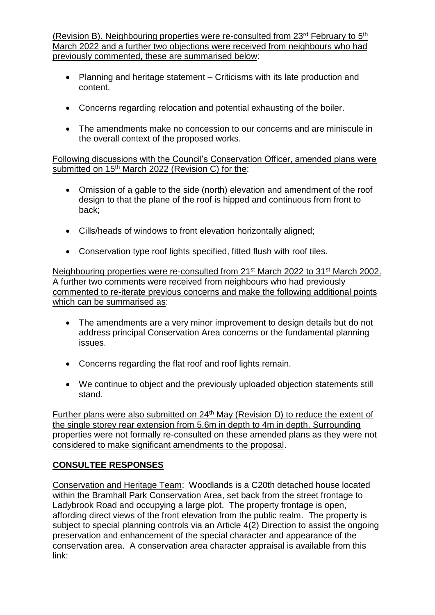(Revision B). Neighbouring properties were re-consulted from 23rd February to 5th March 2022 and a further two objections were received from neighbours who had previously commented, these are summarised below:

- Planning and heritage statement Criticisms with its late production and content.
- Concerns regarding relocation and potential exhausting of the boiler.
- The amendments make no concession to our concerns and are miniscule in the overall context of the proposed works.

Following discussions with the Council's Conservation Officer, amended plans were submitted on 15<sup>th</sup> March 2022 (Revision C) for the:

- Omission of a gable to the side (north) elevation and amendment of the roof design to that the plane of the roof is hipped and continuous from front to back;
- Cills/heads of windows to front elevation horizontally aligned;
- Conservation type roof lights specified, fitted flush with roof tiles.

Neighbouring properties were re-consulted from 21st March 2022 to 31st March 2002. A further two comments were received from neighbours who had previously commented to re-iterate previous concerns and make the following additional points which can be summarised as:

- The amendments are a very minor improvement to design details but do not address principal Conservation Area concerns or the fundamental planning issues.
- Concerns regarding the flat roof and roof lights remain.
- We continue to object and the previously uploaded objection statements still stand.

Further plans were also submitted on 24<sup>th</sup> May (Revision D) to reduce the extent of the single storey rear extension from 5.6m in depth to 4m in depth. Surrounding properties were not formally re-consulted on these amended plans as they were not considered to make significant amendments to the proposal.

# **CONSULTEE RESPONSES**

Conservation and Heritage Team: Woodlands is a C20th detached house located within the Bramhall Park Conservation Area, set back from the street frontage to Ladybrook Road and occupying a large plot. The property frontage is open, affording direct views of the front elevation from the public realm. The property is subject to special planning controls via an Article 4(2) Direction to assist the ongoing preservation and enhancement of the special character and appearance of the conservation area. A conservation area character appraisal is available from this link: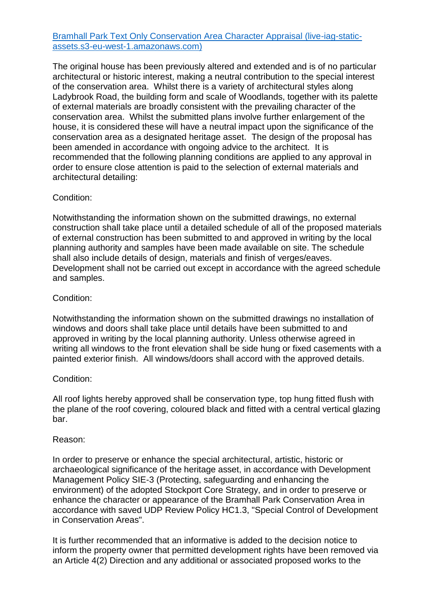#### [Bramhall Park Text Only Conservation Area Character Appraisal \(live-iag-static](https://live-iag-static-assets.s3-eu-west-1.amazonaws.com/pdf/Stockport+Historic+Environment+Database/Bramhall+Park+/Bramhall+Park+Text+Only+Conservation+Area+Character+Appraisal.pdf)[assets.s3-eu-west-1.amazonaws.com\)](https://live-iag-static-assets.s3-eu-west-1.amazonaws.com/pdf/Stockport+Historic+Environment+Database/Bramhall+Park+/Bramhall+Park+Text+Only+Conservation+Area+Character+Appraisal.pdf)

The original house has been previously altered and extended and is of no particular architectural or historic interest, making a neutral contribution to the special interest of the conservation area. Whilst there is a variety of architectural styles along Ladybrook Road, the building form and scale of Woodlands, together with its palette of external materials are broadly consistent with the prevailing character of the conservation area. Whilst the submitted plans involve further enlargement of the house, it is considered these will have a neutral impact upon the significance of the conservation area as a designated heritage asset. The design of the proposal has been amended in accordance with ongoing advice to the architect. It is recommended that the following planning conditions are applied to any approval in order to ensure close attention is paid to the selection of external materials and architectural detailing:

#### Condition:

Notwithstanding the information shown on the submitted drawings, no external construction shall take place until a detailed schedule of all of the proposed materials of external construction has been submitted to and approved in writing by the local planning authority and samples have been made available on site. The schedule shall also include details of design, materials and finish of verges/eaves. Development shall not be carried out except in accordance with the agreed schedule and samples.

#### Condition:

Notwithstanding the information shown on the submitted drawings no installation of windows and doors shall take place until details have been submitted to and approved in writing by the local planning authority. Unless otherwise agreed in writing all windows to the front elevation shall be side hung or fixed casements with a painted exterior finish. All windows/doors shall accord with the approved details.

#### Condition:

All roof lights hereby approved shall be conservation type, top hung fitted flush with the plane of the roof covering, coloured black and fitted with a central vertical glazing bar.

#### Reason:

In order to preserve or enhance the special architectural, artistic, historic or archaeological significance of the heritage asset, in accordance with Development Management Policy SIE-3 (Protecting, safeguarding and enhancing the environment) of the adopted Stockport Core Strategy, and in order to preserve or enhance the character or appearance of the Bramhall Park Conservation Area in accordance with saved UDP Review Policy HC1.3, "Special Control of Development in Conservation Areas".

It is further recommended that an informative is added to the decision notice to inform the property owner that permitted development rights have been removed via an Article 4(2) Direction and any additional or associated proposed works to the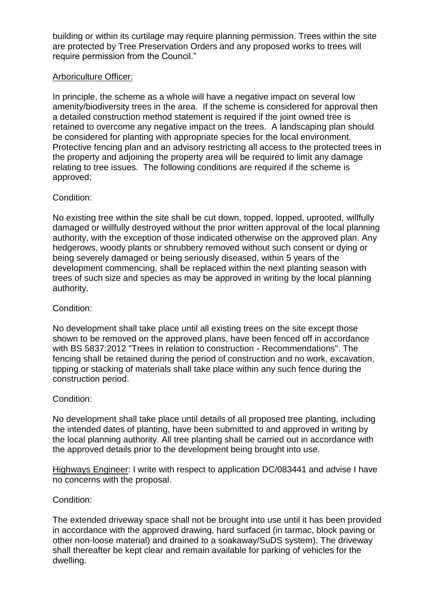building or within its curtilage may require planning permission. Trees within the site are protected by Tree Preservation Orders and any proposed works to trees will require permission from the Council."

## Arboriculture Officer:

In principle, the scheme as a whole will have a negative impact on several low amenity/biodiversity trees in the area. If the scheme is considered for approval then a detailed construction method statement is required if the joint owned tree is retained to overcome any negative impact on the trees. A landscaping plan should be considered for planting with appropriate species for the local environment. Protective fencing plan and an advisory restricting all access to the protected trees in the property and adjoining the property area will be required to limit any damage relating to tree issues. The following conditions are required if the scheme is approved;

## Condition:

No existing tree within the site shall be cut down, topped, lopped, uprooted, willfully damaged or willfully destroyed without the prior written approval of the local planning authority, with the exception of those indicated otherwise on the approved plan. Any hedgerows, woody plants or shrubbery removed without such consent or dying or being severely damaged or being seriously diseased, within 5 years of the development commencing, shall be replaced within the next planting season with trees of such size and species as may be approved in writing by the local planning authority.

### Condition:

No development shall take place until all existing trees on the site except those shown to be removed on the approved plans, have been fenced off in accordance with BS 5837:2012 "Trees in relation to construction - Recommendations". The fencing shall be retained during the period of construction and no work, excavation, tipping or stacking of materials shall take place within any such fence during the construction period.

#### Condition:

No development shall take place until details of all proposed tree planting, including the intended dates of planting, have been submitted to and approved in writing by the local planning authority. All tree planting shall be carried out in accordance with the approved details prior to the development being brought into use.

Highways Engineer: I write with respect to application DC/083441 and advise I have no concerns with the proposal.

#### Condition:

The extended driveway space shall not be brought into use until it has been provided in accordance with the approved drawing, hard surfaced (in tarmac, block paving or other non-loose material) and drained to a soakaway/SuDS system). The driveway shall thereafter be kept clear and remain available for parking of vehicles for the dwelling.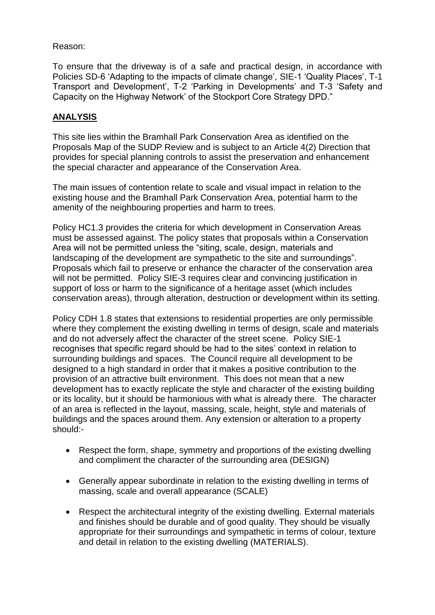## Reason:

To ensure that the driveway is of a safe and practical design, in accordance with Policies SD-6 'Adapting to the impacts of climate change', SIE-1 'Quality Places', T-1 Transport and Development', T-2 'Parking in Developments' and T-3 'Safety and Capacity on the Highway Network' of the Stockport Core Strategy DPD."

# **ANALYSIS**

This site lies within the Bramhall Park Conservation Area as identified on the Proposals Map of the SUDP Review and is subject to an Article 4(2) Direction that provides for special planning controls to assist the preservation and enhancement the special character and appearance of the Conservation Area.

The main issues of contention relate to scale and visual impact in relation to the existing house and the Bramhall Park Conservation Area, potential harm to the amenity of the neighbouring properties and harm to trees.

Policy HC1.3 provides the criteria for which development in Conservation Areas must be assessed against. The policy states that proposals within a Conservation Area will not be permitted unless the "siting, scale, design, materials and landscaping of the development are sympathetic to the site and surroundings". Proposals which fail to preserve or enhance the character of the conservation area will not be permitted. Policy SIE-3 requires clear and convincing justification in support of loss or harm to the significance of a heritage asset (which includes conservation areas), through alteration, destruction or development within its setting.

Policy CDH 1.8 states that extensions to residential properties are only permissible where they complement the existing dwelling in terms of design, scale and materials and do not adversely affect the character of the street scene. Policy SIE-1 recognises that specific regard should be had to the sites' context in relation to surrounding buildings and spaces. The Council require all development to be designed to a high standard in order that it makes a positive contribution to the provision of an attractive built environment. This does not mean that a new development has to exactly replicate the style and character of the existing building or its locality, but it should be harmonious with what is already there. The character of an area is reflected in the layout, massing, scale, height, style and materials of buildings and the spaces around them. Any extension or alteration to a property should:-

- Respect the form, shape, symmetry and proportions of the existing dwelling and compliment the character of the surrounding area (DESIGN)
- Generally appear subordinate in relation to the existing dwelling in terms of massing, scale and overall appearance (SCALE)
- Respect the architectural integrity of the existing dwelling. External materials and finishes should be durable and of good quality. They should be visually appropriate for their surroundings and sympathetic in terms of colour, texture and detail in relation to the existing dwelling (MATERIALS).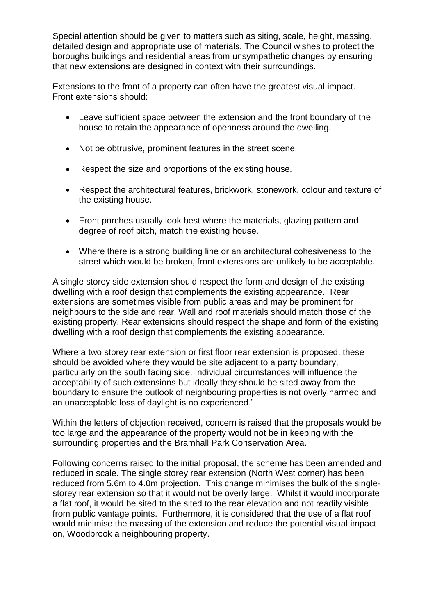Special attention should be given to matters such as siting, scale, height, massing, detailed design and appropriate use of materials. The Council wishes to protect the boroughs buildings and residential areas from unsympathetic changes by ensuring that new extensions are designed in context with their surroundings.

Extensions to the front of a property can often have the greatest visual impact. Front extensions should:

- Leave sufficient space between the extension and the front boundary of the house to retain the appearance of openness around the dwelling.
- Not be obtrusive, prominent features in the street scene.
- Respect the size and proportions of the existing house.
- Respect the architectural features, brickwork, stonework, colour and texture of the existing house.
- Front porches usually look best where the materials, glazing pattern and degree of roof pitch, match the existing house.
- Where there is a strong building line or an architectural cohesiveness to the street which would be broken, front extensions are unlikely to be acceptable.

A single storey side extension should respect the form and design of the existing dwelling with a roof design that complements the existing appearance. Rear extensions are sometimes visible from public areas and may be prominent for neighbours to the side and rear. Wall and roof materials should match those of the existing property. Rear extensions should respect the shape and form of the existing dwelling with a roof design that complements the existing appearance.

Where a two storey rear extension or first floor rear extension is proposed, these should be avoided where they would be site adjacent to a party boundary, particularly on the south facing side. Individual circumstances will influence the acceptability of such extensions but ideally they should be sited away from the boundary to ensure the outlook of neighbouring properties is not overly harmed and an unacceptable loss of daylight is no experienced."

Within the letters of objection received, concern is raised that the proposals would be too large and the appearance of the property would not be in keeping with the surrounding properties and the Bramhall Park Conservation Area.

Following concerns raised to the initial proposal, the scheme has been amended and reduced in scale. The single storey rear extension (North West corner) has been reduced from 5.6m to 4.0m projection. This change minimises the bulk of the singlestorey rear extension so that it would not be overly large. Whilst it would incorporate a flat roof, it would be sited to the sited to the rear elevation and not readily visible from public vantage points. Furthermore, it is considered that the use of a flat roof would minimise the massing of the extension and reduce the potential visual impact on, Woodbrook a neighbouring property.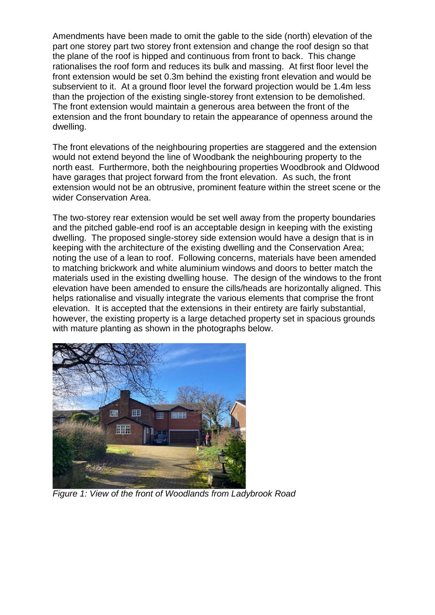Amendments have been made to omit the gable to the side (north) elevation of the part one storey part two storey front extension and change the roof design so that the plane of the roof is hipped and continuous from front to back. This change rationalises the roof form and reduces its bulk and massing. At first floor level the front extension would be set 0.3m behind the existing front elevation and would be subservient to it. At a ground floor level the forward projection would be 1.4m less than the projection of the existing single-storey front extension to be demolished. The front extension would maintain a generous area between the front of the extension and the front boundary to retain the appearance of openness around the dwelling.

The front elevations of the neighbouring properties are staggered and the extension would not extend beyond the line of Woodbank the neighbouring property to the north east. Furthermore, both the neighbouring properties Woodbrook and Oldwood have garages that project forward from the front elevation. As such, the front extension would not be an obtrusive, prominent feature within the street scene or the wider Conservation Area.

The two-storey rear extension would be set well away from the property boundaries and the pitched gable-end roof is an acceptable design in keeping with the existing dwelling. The proposed single-storey side extension would have a design that is in keeping with the architecture of the existing dwelling and the Conservation Area; noting the use of a lean to roof. Following concerns, materials have been amended to matching brickwork and white aluminium windows and doors to better match the materials used in the existing dwelling house. The design of the windows to the front elevation have been amended to ensure the cills/heads are horizontally aligned. This helps rationalise and visually integrate the various elements that comprise the front elevation. It is accepted that the extensions in their entirety are fairly substantial, however, the existing property is a large detached property set in spacious grounds with mature planting as shown in the photographs below.



*Figure 1: View of the front of Woodlands from Ladybrook Road*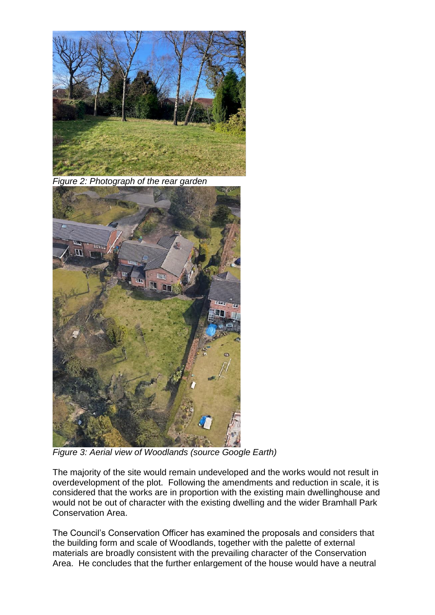

*Figure 2: Photograph of the rear garden* 



*Figure 3: Aerial view of Woodlands (source Google Earth)*

The majority of the site would remain undeveloped and the works would not result in overdevelopment of the plot. Following the amendments and reduction in scale, it is considered that the works are in proportion with the existing main dwellinghouse and would not be out of character with the existing dwelling and the wider Bramhall Park Conservation Area.

The Council's Conservation Officer has examined the proposals and considers that the building form and scale of Woodlands, together with the palette of external materials are broadly consistent with the prevailing character of the Conservation Area. He concludes that the further enlargement of the house would have a neutral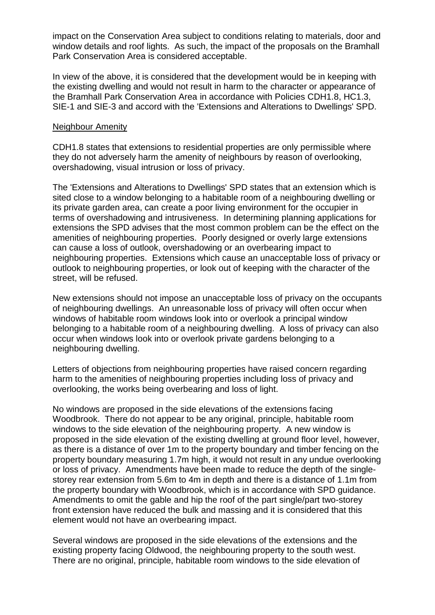impact on the Conservation Area subject to conditions relating to materials, door and window details and roof lights. As such, the impact of the proposals on the Bramhall Park Conservation Area is considered acceptable.

In view of the above, it is considered that the development would be in keeping with the existing dwelling and would not result in harm to the character or appearance of the Bramhall Park Conservation Area in accordance with Policies CDH1.8, HC1.3, SIE-1 and SIE-3 and accord with the 'Extensions and Alterations to Dwellings' SPD.

#### Neighbour Amenity

CDH1.8 states that extensions to residential properties are only permissible where they do not adversely harm the amenity of neighbours by reason of overlooking, overshadowing, visual intrusion or loss of privacy.

The 'Extensions and Alterations to Dwellings' SPD states that an extension which is sited close to a window belonging to a habitable room of a neighbouring dwelling or its private garden area, can create a poor living environment for the occupier in terms of overshadowing and intrusiveness. In determining planning applications for extensions the SPD advises that the most common problem can be the effect on the amenities of neighbouring properties. Poorly designed or overly large extensions can cause a loss of outlook, overshadowing or an overbearing impact to neighbouring properties. Extensions which cause an unacceptable loss of privacy or outlook to neighbouring properties, or look out of keeping with the character of the street, will be refused.

New extensions should not impose an unacceptable loss of privacy on the occupants of neighbouring dwellings. An unreasonable loss of privacy will often occur when windows of habitable room windows look into or overlook a principal window belonging to a habitable room of a neighbouring dwelling. A loss of privacy can also occur when windows look into or overlook private gardens belonging to a neighbouring dwelling.

Letters of objections from neighbouring properties have raised concern regarding harm to the amenities of neighbouring properties including loss of privacy and overlooking, the works being overbearing and loss of light.

No windows are proposed in the side elevations of the extensions facing Woodbrook. There do not appear to be any original, principle, habitable room windows to the side elevation of the neighbouring property. A new window is proposed in the side elevation of the existing dwelling at ground floor level, however, as there is a distance of over 1m to the property boundary and timber fencing on the property boundary measuring 1.7m high, it would not result in any undue overlooking or loss of privacy. Amendments have been made to reduce the depth of the singlestorey rear extension from 5.6m to 4m in depth and there is a distance of 1.1m from the property boundary with Woodbrook, which is in accordance with SPD guidance. Amendments to omit the gable and hip the roof of the part single/part two-storey front extension have reduced the bulk and massing and it is considered that this element would not have an overbearing impact.

Several windows are proposed in the side elevations of the extensions and the existing property facing Oldwood, the neighbouring property to the south west. There are no original, principle, habitable room windows to the side elevation of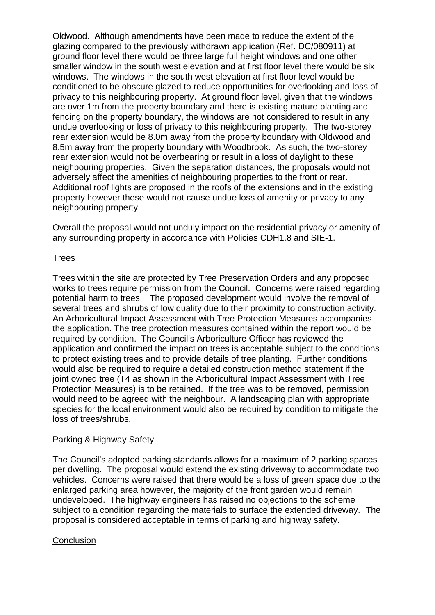Oldwood. Although amendments have been made to reduce the extent of the glazing compared to the previously withdrawn application (Ref. DC/080911) at ground floor level there would be three large full height windows and one other smaller window in the south west elevation and at first floor level there would be six windows. The windows in the south west elevation at first floor level would be conditioned to be obscure glazed to reduce opportunities for overlooking and loss of privacy to this neighbouring property. At ground floor level, given that the windows are over 1m from the property boundary and there is existing mature planting and fencing on the property boundary, the windows are not considered to result in any undue overlooking or loss of privacy to this neighbouring property. The two-storey rear extension would be 8.0m away from the property boundary with Oldwood and 8.5m away from the property boundary with Woodbrook. As such, the two-storey rear extension would not be overbearing or result in a loss of daylight to these neighbouring properties. Given the separation distances, the proposals would not adversely affect the amenities of neighbouring properties to the front or rear. Additional roof lights are proposed in the roofs of the extensions and in the existing property however these would not cause undue loss of amenity or privacy to any neighbouring property.

Overall the proposal would not unduly impact on the residential privacy or amenity of any surrounding property in accordance with Policies CDH1.8 and SIE-1.

## **Trees**

Trees within the site are protected by Tree Preservation Orders and any proposed works to trees require permission from the Council. Concerns were raised regarding potential harm to trees. The proposed development would involve the removal of several trees and shrubs of low quality due to their proximity to construction activity. An Arboricultural Impact Assessment with Tree Protection Measures accompanies the application. The tree protection measures contained within the report would be required by condition. The Council's Arboriculture Officer has reviewed the application and confirmed the impact on trees is acceptable subject to the conditions to protect existing trees and to provide details of tree planting. Further conditions would also be required to require a detailed construction method statement if the joint owned tree (T4 as shown in the Arboricultural Impact Assessment with Tree Protection Measures) is to be retained. If the tree was to be removed, permission would need to be agreed with the neighbour. A landscaping plan with appropriate species for the local environment would also be required by condition to mitigate the loss of trees/shrubs.

#### Parking & Highway Safety

The Council's adopted parking standards allows for a maximum of 2 parking spaces per dwelling. The proposal would extend the existing driveway to accommodate two vehicles. Concerns were raised that there would be a loss of green space due to the enlarged parking area however, the majority of the front garden would remain undeveloped. The highway engineers has raised no objections to the scheme subject to a condition regarding the materials to surface the extended driveway. The proposal is considered acceptable in terms of parking and highway safety.

#### **Conclusion**